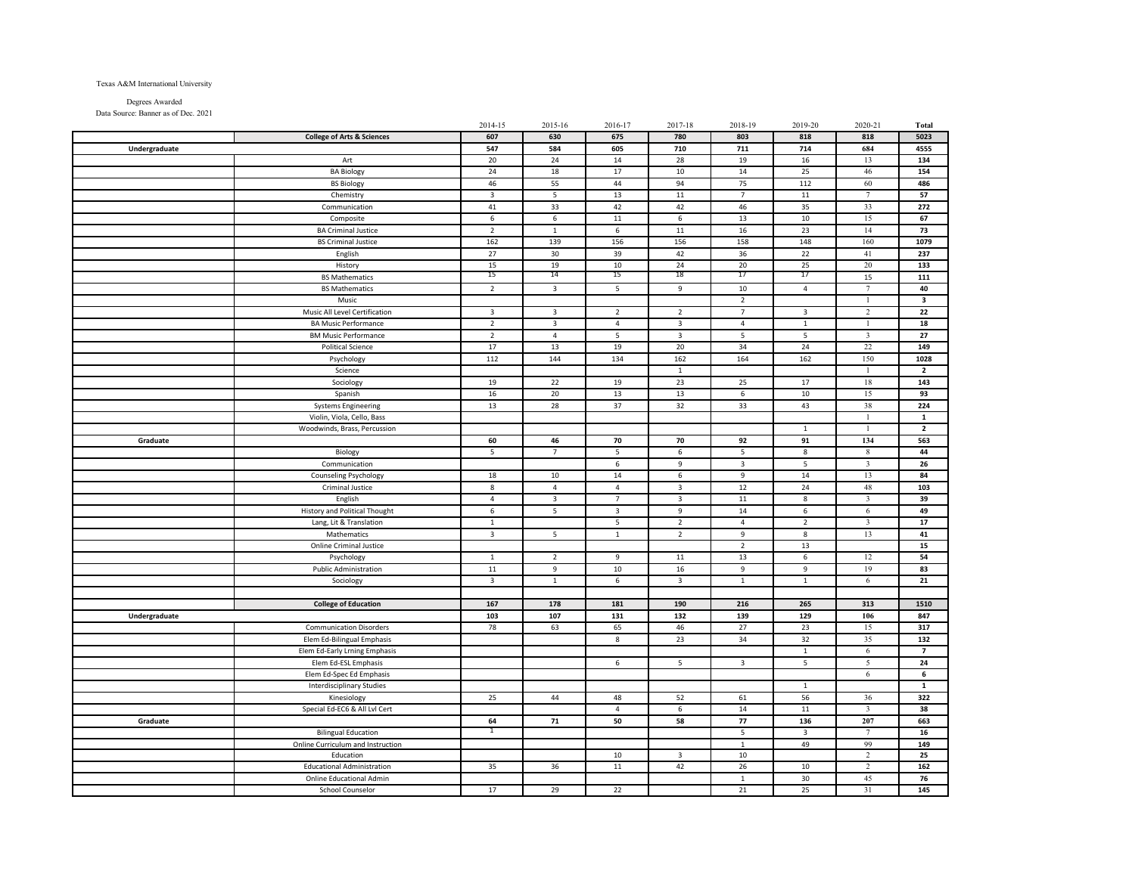## Texas A&M International University

Degrees Awarded Data Source: Banner as of Dec. 2021

|               |                                       | 2014-15         | 2015-16                  | 2016-17         | 2017-18         | 2018-19                 | 2019-20                 | 2020-21                 | Total                    |
|---------------|---------------------------------------|-----------------|--------------------------|-----------------|-----------------|-------------------------|-------------------------|-------------------------|--------------------------|
|               | <b>College of Arts &amp; Sciences</b> | 607             | 630                      | 675             | 780             | 803                     | 818                     | 818                     | 5023                     |
| Undergraduate |                                       | 547             | 584                      | 605             | 710             | 711                     | 714                     | 684                     | 4555                     |
|               | Art                                   | 20              | 24                       | 14              | 28              | 19                      | 16                      | 13                      | 134                      |
|               | <b>BA Biology</b>                     | 24              | 18                       | 17              | 10              | $14\,$                  | 25                      | 46                      | 154                      |
|               | <b>BS Biology</b>                     | 46              | 55                       | 44              | 94              | $75\,$                  | 112                     | 60                      | 486                      |
|               | Chemistry                             | 3               | 5                        | 13              | 11              | $\overline{7}$          | 11                      | $\overline{7}$          | 57                       |
|               | Communication                         | 41              | 33                       | 42              | 42              | 46                      | 35                      | 33                      | 272                      |
|               | Composite                             | $6\overline{6}$ | 6                        | 11              | $6\overline{6}$ | 13                      | 10                      | 15                      | 67                       |
|               |                                       | $\overline{2}$  |                          | 6               | 11              | 16                      | 23                      | 14                      | 73                       |
|               | <b>BA Criminal Justice</b>            | 162             | $\mathbf{1}$<br>139      |                 | 156             | 158                     |                         | 160                     |                          |
|               | <b>BS Criminal Justice</b>            |                 |                          | 156             |                 |                         | 148                     |                         | 1079                     |
|               | English                               | 27              | 30                       | 39              | 42              | 36                      | 22                      | 41                      | 237                      |
|               | History                               | 15              | 19                       | 10              | 24              | 20                      | 25                      | 20                      | 133                      |
|               | <b>BS Mathematics</b>                 | 15              | 14                       | 15              | 18              | 17                      | 17                      | 15                      | 111                      |
|               | <b>BS Mathematics</b>                 | $\overline{2}$  | $\mathbf{3}$             | 5               | 9               | 10                      | $\overline{4}$          | $\tau$                  | 40                       |
|               | Music                                 |                 |                          |                 |                 | $\overline{2}$          |                         | $\mathbf{1}$            | $\overline{\mathbf{3}}$  |
|               | Music All Level Certification         | 3               | $\overline{\mathbf{3}}$  | $\overline{2}$  | $\overline{2}$  | $\overline{7}$          | $\overline{\mathbf{3}}$ | $\overline{2}$          | 22                       |
|               | <b>BA Music Performance</b>           | $\overline{2}$  | $\overline{\mathbf{3}}$  | $\overline{4}$  | $\mathbf{3}$    | $\overline{4}$          | $\overline{1}$          |                         | 18                       |
|               | <b>BM Music Performance</b>           | $\overline{2}$  | $\overline{4}$           | 5               | $\overline{3}$  | 5                       | 5                       | $\overline{\mathbf{3}}$ | 27                       |
|               | <b>Political Science</b>              | 17              | 13                       | 19              | 20              | 34                      | 24                      | 22                      | 149                      |
|               | Psychology                            | 112             | 144                      | 134             | 162             | 164                     | 162                     | 150                     | 1028                     |
|               | Science                               |                 |                          |                 | $\,$ 1 $\,$     |                         |                         | $\mathbf{1}$            | $\overline{\mathbf{2}}$  |
|               | Sociology                             | 19              | 22                       | 19              | 23              | 25                      | 17                      | 18                      | 143                      |
|               | Spanish                               | 16              | 20                       | 13              | 13              | 6                       | 10                      | 15                      | 93                       |
|               | <b>Systems Engineering</b>            | 13              | 28                       | 37              | 32              | 33                      | 43                      | 38                      | 224                      |
|               | Violin, Viola, Cello, Bass            |                 |                          |                 |                 |                         |                         | $\overline{1}$          | $\mathbf 1$              |
|               | Woodwinds, Brass, Percussion          |                 |                          |                 |                 |                         | $\mathbf{1}$            | -1                      | $\overline{\mathbf{2}}$  |
| Graduate      |                                       | 60              | 46                       | 70              | 70              | 92                      | 91                      | 134                     | 563                      |
|               | Biology                               | 5               | $7\overline{ }$          | 5               | 6               | 5                       | 8                       | 8                       | 44                       |
|               | Communication                         |                 |                          | 6               | 9               | $\overline{\mathbf{3}}$ | 5                       | $\overline{3}$          | 26                       |
|               | Counseling Psychology                 | 18              | 10                       | 14              | $6\overline{6}$ | $\overline{9}$          | 14                      | 13                      | 84                       |
|               | Criminal Justice                      | $\bf 8$         | $\overline{4}$           | $\overline{4}$  | $\mathbf{3}$    | 12                      | 24                      | 48                      | 103                      |
|               | English                               | $\overline{4}$  | $\overline{\mathbf{3}}$  | $\overline{7}$  | $\overline{3}$  | $11\,$                  | 8                       | $\overline{\mathbf{3}}$ | 39                       |
|               | <b>History and Political Thought</b>  | 6               | 5                        | $\overline{3}$  | $\overline{9}$  | 14                      | 6                       | 6                       | 49                       |
|               | Lang, Lit & Translation               | $\mathbf 1$     |                          | $5\phantom{.0}$ | $\overline{2}$  | $\overline{4}$          | $\overline{2}$          | $\overline{\mathbf{3}}$ | 17                       |
|               | Mathematics                           | $\mathbf{3}$    | $\overline{\phantom{a}}$ | $1\,$           | $\overline{2}$  | 9                       | 8                       | 13                      | 41                       |
|               | <b>Online Criminal Justice</b>        |                 |                          |                 |                 | $\overline{2}$          | 13                      |                         | 15                       |
|               | Psychology                            | $\mathbf{1}$    | $\overline{2}$           | 9               | 11              | 13                      | 6                       | 12                      | 54                       |
|               | <b>Public Administration</b>          | 11              | 9                        | 10              | 16              | 9                       | $\overline{9}$          | 19                      | 83                       |
|               | Sociology                             | 3               | $\mathbf{1}$             | 6               | 3               | $\mathbf{1}$            | $\mathbf{1}$            | 6                       | 21                       |
|               |                                       |                 |                          |                 |                 |                         |                         |                         |                          |
|               | <b>College of Education</b>           | 167             | 178                      | 181             | 190             | 216                     | 265                     | 313                     | 1510                     |
| Undergraduate |                                       | 103             | 107                      | 131             | 132             | 139                     | 129                     | 106                     | 847                      |
|               | <b>Communication Disorders</b>        | 78              | 63                       | 65              | 46              | 27                      | 23                      | 15                      | 317                      |
|               | Elem Ed-Bilingual Emphasis            |                 |                          | $\bf 8$         | 23              | 34                      | 32                      | 35                      | 132                      |
|               | Elem Ed-Early Lrning Emphasis         |                 |                          |                 |                 |                         | $\,$ 1 $\,$             | 6                       | $\overline{\phantom{a}}$ |
|               | Elem Ed-ESL Emphasis                  |                 |                          | 6               | 5               | $\overline{\mathbf{3}}$ | 5                       | 5                       | 24                       |
|               | Elem Ed-Spec Ed Emphasis              |                 |                          |                 |                 |                         |                         | 6                       | 6                        |
|               | <b>Interdisciplinary Studies</b>      |                 |                          |                 |                 |                         | $\mathbf{1}$            |                         | $\mathbf{1}$             |
|               | Kinesiology                           | 25              | 44                       | 48              | 52              | 61                      | 56                      | 36                      | 322                      |
|               | Special Ed-EC6 & All Lvl Cert         |                 |                          | $\overline{4}$  | 6               | 14                      | 11                      | $\overline{\mathbf{3}}$ | 38                       |
| Graduate      |                                       | 64              | 71                       | 50              | 58              | 77                      | 136                     | 207                     | 663                      |
|               | <b>Bilingual Education</b>            | 1               |                          |                 |                 | $\overline{\mathbf{5}}$ | 3                       |                         | 16                       |
|               | Online Curriculum and Instruction     |                 |                          |                 |                 | $\mathbf{1}$            | 49                      | 99                      | 149                      |
|               | Education                             |                 |                          | 10              | $\overline{3}$  | 10                      |                         | $\overline{2}$          | 25                       |
|               | <b>Educational Administration</b>     | 35              | 36                       | $11\,$          | 42              | $26\,$                  | 10                      | $\sqrt{2}$              | 162                      |
|               | Online Educational Admin              |                 |                          |                 |                 | $\,$ 1 $\,$             | 30                      | 45                      | 76                       |
|               | School Counselor                      | 17              | 29                       | 22              |                 | 21                      | 25                      | 31                      | 145                      |
|               |                                       |                 |                          |                 |                 |                         |                         |                         |                          |